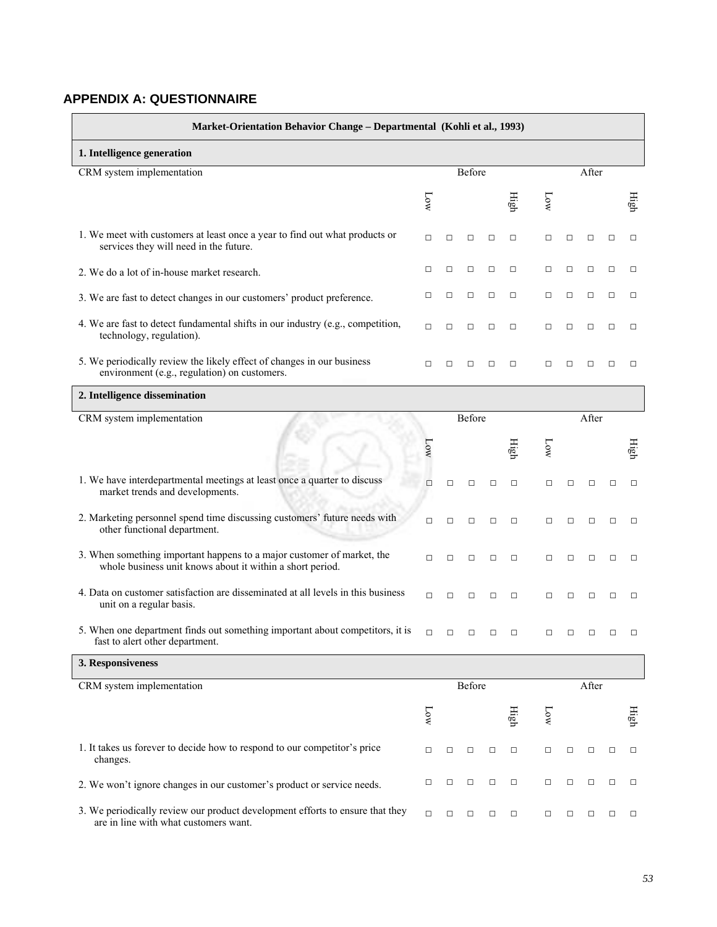## **APPENDIX A: QUESTIONNAIRE**

| Market-Orientation Behavior Change - Departmental (Kohli et al., 1993)                                                              |                       |        |        |        |        |        |        |        |        |        |  |  |
|-------------------------------------------------------------------------------------------------------------------------------------|-----------------------|--------|--------|--------|--------|--------|--------|--------|--------|--------|--|--|
| 1. Intelligence generation                                                                                                          |                       |        |        |        |        |        |        |        |        |        |  |  |
| CRM system implementation                                                                                                           |                       |        | Before |        |        |        |        | After  |        |        |  |  |
|                                                                                                                                     | $\overline{\text{K}}$ |        |        |        | High   | NОМ    |        |        |        | High   |  |  |
| 1. We meet with customers at least once a year to find out what products or<br>services they will need in the future.               | $\Box$                | $\Box$ | □      | $\Box$ | $\Box$ | $\Box$ | □      | □      | $\Box$ | □      |  |  |
| 2. We do a lot of in-house market research.                                                                                         | □                     | □      | □      | □      | □      | $\Box$ | □      | □      | $\Box$ | □      |  |  |
| 3. We are fast to detect changes in our customers' product preference.                                                              | □                     | □      | □      | $\Box$ | $\Box$ | $\Box$ | □      | □      | $\Box$ | $\Box$ |  |  |
| 4. We are fast to detect fundamental shifts in our industry (e.g., competition,<br>technology, regulation).                         | $\Box$                | □      | □      | □      | □      | $\Box$ | $\Box$ | $\Box$ | $\Box$ | $\Box$ |  |  |
| 5. We periodically review the likely effect of changes in our business<br>environment (e.g., regulation) on customers.              | $\Box$                | $\Box$ | □      | □      | $\Box$ | $\Box$ | □      | □      | $\Box$ | □      |  |  |
| 2. Intelligence dissemination                                                                                                       |                       |        |        |        |        |        |        |        |        |        |  |  |
| CRM system implementation                                                                                                           |                       |        | Before |        |        |        | After  |        |        |        |  |  |
|                                                                                                                                     | <b>Low</b>            |        |        |        | High   | 10W    |        |        |        | High   |  |  |
| 1. We have interdepartmental meetings at least once a quarter to discuss<br>market trends and developments.                         | $\Box$                | $\Box$ | $\Box$ | □      | $\Box$ | $\Box$ | □      | $\Box$ | $\Box$ | $\Box$ |  |  |
| 2. Marketing personnel spend time discussing customers' future needs with<br>other functional department.                           | $\Box$                | $\Box$ | $\Box$ | $\Box$ | $\Box$ | $\Box$ | $\Box$ | $\Box$ | $\Box$ | $\Box$ |  |  |
| 3. When something important happens to a major customer of market, the<br>whole business unit knows about it within a short period. | $\Box$                | $\Box$ | □      | $\Box$ | $\Box$ | $\Box$ | □      | $\Box$ | $\Box$ | $\Box$ |  |  |
| 4. Data on customer satisfaction are disseminated at all levels in this business<br>unit on a regular basis.                        | $\Box$                | $\Box$ | $\Box$ | □      | $\Box$ | $\Box$ | □      | $\Box$ | $\Box$ | $\Box$ |  |  |
| 5. When one department finds out something important about competitors, it is<br>fast to alert other department.                    | $\Box$                | $\Box$ | $\Box$ | □      | $\Box$ | $\Box$ | $\Box$ | $\Box$ | □      | $\Box$ |  |  |
| 3. Responsiveness                                                                                                                   |                       |        |        |        |        |        |        |        |        |        |  |  |
| CRM system implementation                                                                                                           |                       |        | Before |        |        |        |        | After  |        |        |  |  |
|                                                                                                                                     | Low                   |        |        |        | High   | Low    |        |        |        | High   |  |  |
| 1. It takes us forever to decide how to respond to our competitor's price<br>changes.                                               | $\Box$                | $\Box$ | $\Box$ | $\Box$ | $\Box$ | $\Box$ | $\Box$ | $\Box$ | $\Box$ | $\Box$ |  |  |
| 2. We won't ignore changes in our customer's product or service needs.                                                              | $\Box$                | $\Box$ | □      | $\Box$ | $\Box$ | $\Box$ | $\Box$ | $\Box$ | $\Box$ | $\Box$ |  |  |
| 3. We periodically review our product development efforts to ensure that they<br>are in line with what customers want.              | $\Box$                | $\Box$ | $\Box$ | $\Box$ | $\Box$ | $\Box$ | □      | □      | $\Box$ | $\Box$ |  |  |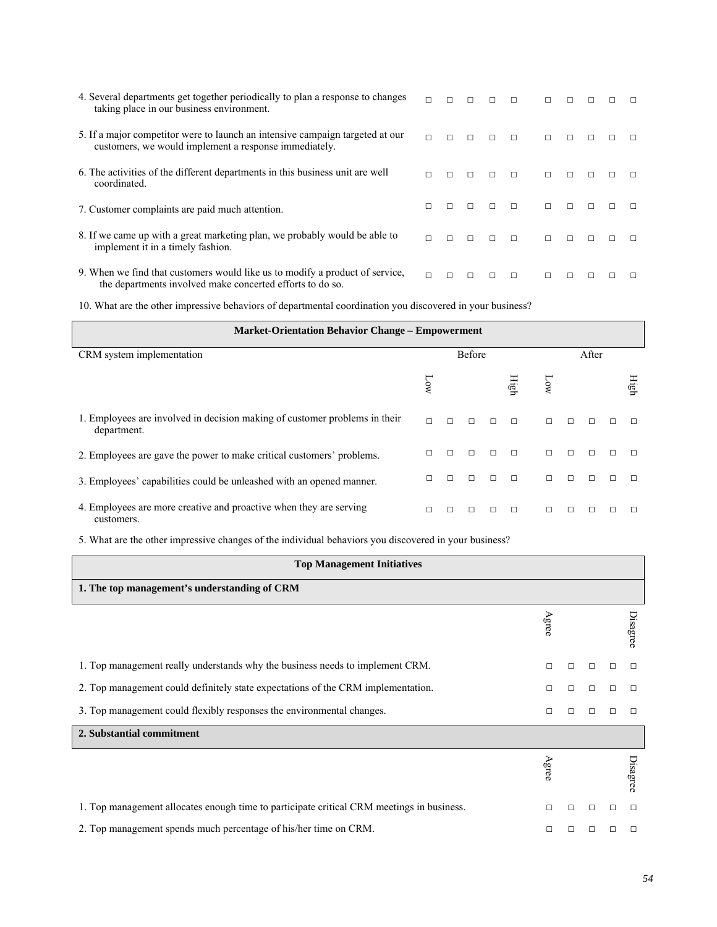| 4. Several departments get together periodically to plan a response to changes<br>taking place in our business environment.               |        | $\Box$ | П      | П      | $\Box$ | п      |        |        |        |  |
|-------------------------------------------------------------------------------------------------------------------------------------------|--------|--------|--------|--------|--------|--------|--------|--------|--------|--|
| 5. If a major competitor were to launch an intensive campaign targeted at our<br>customers, we would implement a response immediately.    |        | $\Box$ | $\Box$ | $\Box$ | $\Box$ | $\Box$ | $\Box$ | $\Box$ | $\Box$ |  |
| 6. The activities of the different departments in this business unit are well<br>coordinated.                                             | $\Box$ | $\Box$ | $\Box$ | $\Box$ | $\Box$ | $\Box$ | $\Box$ | $\Box$ | $\Box$ |  |
| 7. Customer complaints are paid much attention.                                                                                           | $\Box$ | $\Box$ | $\Box$ | $\Box$ | $\Box$ | $\Box$ | $\Box$ | $\Box$ | $\Box$ |  |
| 8. If we came up with a great marketing plan, we probably would be able to<br>implement it in a timely fashion.                           | $\Box$ | $\Box$ | $\Box$ | $\Box$ | $\Box$ | $\Box$ | $\Box$ | $\Box$ | $\Box$ |  |
| 9. When we find that customers would like us to modify a product of service,<br>the departments involved make concerted efforts to do so. | $\Box$ | $\Box$ | П      | $\Box$ | $\Box$ | $\Box$ | $\Box$ |        | п      |  |

10. What are the other impressive behaviors of departmental coordination you discovered in your business?

| <b>Market-Orientation Behavior Change - Empowerment</b>                                   |        |        |               |        |        |        |        |   |        |      |  |  |  |
|-------------------------------------------------------------------------------------------|--------|--------|---------------|--------|--------|--------|--------|---|--------|------|--|--|--|
| CRM system implementation                                                                 |        |        | <b>Before</b> |        |        | After  |        |   |        |      |  |  |  |
|                                                                                           | ğ      |        |               |        | igh    | ৡ      |        |   |        | High |  |  |  |
| 1. Employees are involved in decision making of customer problems in their<br>department. | $\Box$ |        |               |        | $\Box$ | $\Box$ |        |   |        |      |  |  |  |
| 2. Employees are gave the power to make critical customers' problems.                     | П      |        |               | $\Box$ | $\Box$ | $\Box$ | $\Box$ |   |        |      |  |  |  |
| 3. Employees' capabilities could be unleashed with an opened manner.                      | П      | $\Box$ |               | $\Box$ | $\Box$ | $\Box$ | $\Box$ | П | $\Box$ |      |  |  |  |
| 4. Employees are more creative and proactive when they are serving<br>customers.          | П      | $\Box$ | $\Box$        | $\Box$ | $\Box$ | $\Box$ | $\Box$ |   |        |      |  |  |  |

5. What are the other impressive changes of the individual behaviors you discovered in your business?

| <b>Top Management Initiatives</b>                                                         |        |   |        |        |          |
|-------------------------------------------------------------------------------------------|--------|---|--------|--------|----------|
| 1. The top management's understanding of CRM                                              |        |   |        |        |          |
|                                                                                           | Agree  |   |        |        | Disagree |
| 1. Top management really understands why the business needs to implement CRM.             | $\Box$ | П | $\Box$ | П      |          |
| 2. Top management could definitely state expectations of the CRM implementation.          | $\Box$ | П | $\Box$ | $\Box$ |          |
| 3. Top management could flexibly responses the environmental changes.                     | $\Box$ | П | $\Box$ | П      |          |
| 2. Substantial commitment                                                                 |        |   |        |        |          |
|                                                                                           | gree   |   |        |        | Disagree |
| 1. Top management allocates enough time to participate critical CRM meetings in business. | $\Box$ | П | $\Box$ | $\Box$ | $\Box$   |
| 2. Top management spends much percentage of his/her time on CRM.                          | П      |   |        | П      |          |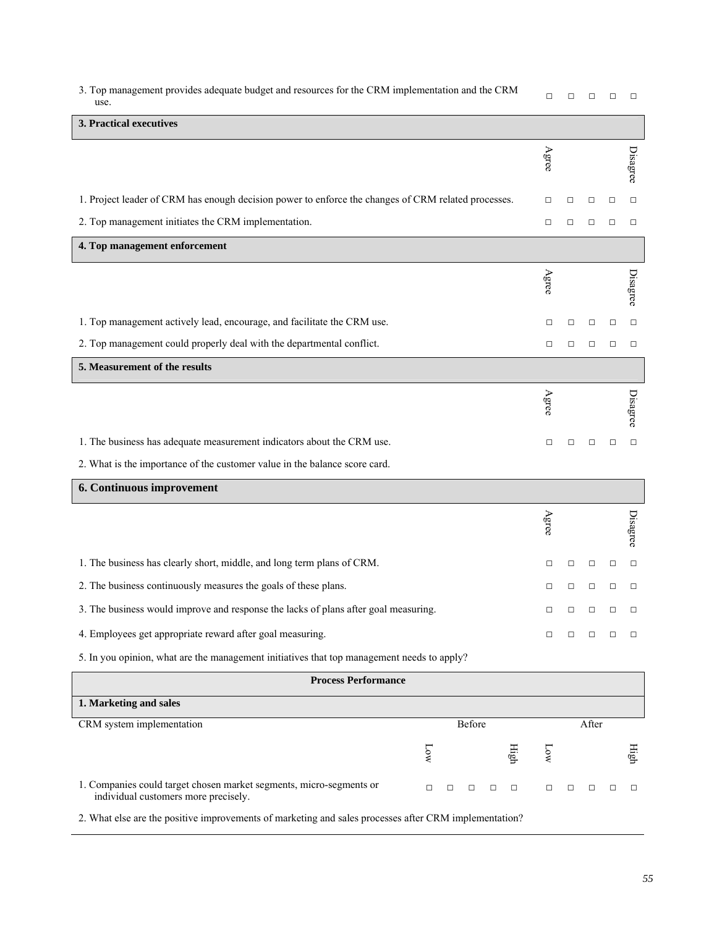| 3. Top management provides adequate budget and resources for the CRM implementation and the CRM<br>use. |        |      | □      | □      | □      | □      | □        |
|---------------------------------------------------------------------------------------------------------|--------|------|--------|--------|--------|--------|----------|
| 3. Practical executives                                                                                 |        |      |        |        |        |        |          |
|                                                                                                         |        |      | Agree  |        |        |        | Disagree |
| 1. Project leader of CRM has enough decision power to enforce the changes of CRM related processes.     |        |      | $\Box$ | $\Box$ | $\Box$ | $\Box$ | $\Box$   |
| 2. Top management initiates the CRM implementation.                                                     |        |      | $\Box$ | □      | $\Box$ | $\Box$ | $\Box$   |
| 4. Top management enforcement                                                                           |        |      |        |        |        |        |          |
|                                                                                                         |        |      | Agree  |        |        |        | Disagree |
| 1. Top management actively lead, encourage, and facilitate the CRM use.                                 |        |      | $\Box$ | □      | $\Box$ | □      | $\Box$   |
| 2. Top management could properly deal with the departmental conflict.                                   |        |      | $\Box$ | □      | $\Box$ | □      | $\Box$   |
| 5. Measurement of the results                                                                           |        |      |        |        |        |        |          |
|                                                                                                         |        |      | Agree  |        |        |        | Disagree |
| 1. The business has adequate measurement indicators about the CRM use.                                  |        |      | $\Box$ | □      | $\Box$ | $\Box$ | $\Box$   |
| 2. What is the importance of the customer value in the balance score card.                              |        |      |        |        |        |        |          |
| 6. Continuous improvement                                                                               |        |      |        |        |        |        |          |
|                                                                                                         |        |      | Agree  |        |        |        | Disagree |
| 1. The business has clearly short, middle, and long term plans of CRM.                                  |        |      | $\Box$ | $\Box$ | □      | $\Box$ | $\Box$   |
| 2. The business continuously measures the goals of these plans.                                         |        |      | □      | $\Box$ | □      | $\Box$ | $\Box$   |
| 3. The business would improve and response the lacks of plans after goal measuring.                     |        |      |        |        |        |        |          |
| 4. Employees get appropriate reward after goal measuring.                                               |        |      | $\Box$ | $\Box$ | $\Box$ | $\Box$ | $\Box$   |
| 5. In you opinion, what are the management initiatives that top management needs to apply?              |        |      |        |        |        |        |          |
| <b>Process Performance</b>                                                                              |        |      |        |        |        |        |          |
| 1. Marketing and sales                                                                                  |        |      |        |        |        |        |          |
| CRM system implementation                                                                               | Before |      |        |        | After  |        |          |
| $\Gamma$ ow                                                                                             |        | High | Low    |        |        |        | High     |

2. What else are the positive improvements of marketing and sales processes after CRM implementation?

1. Companies could target chosen market segments, micro-segments or

individual customers more precisely.

□ □ □ □ □ □ □ □ □ □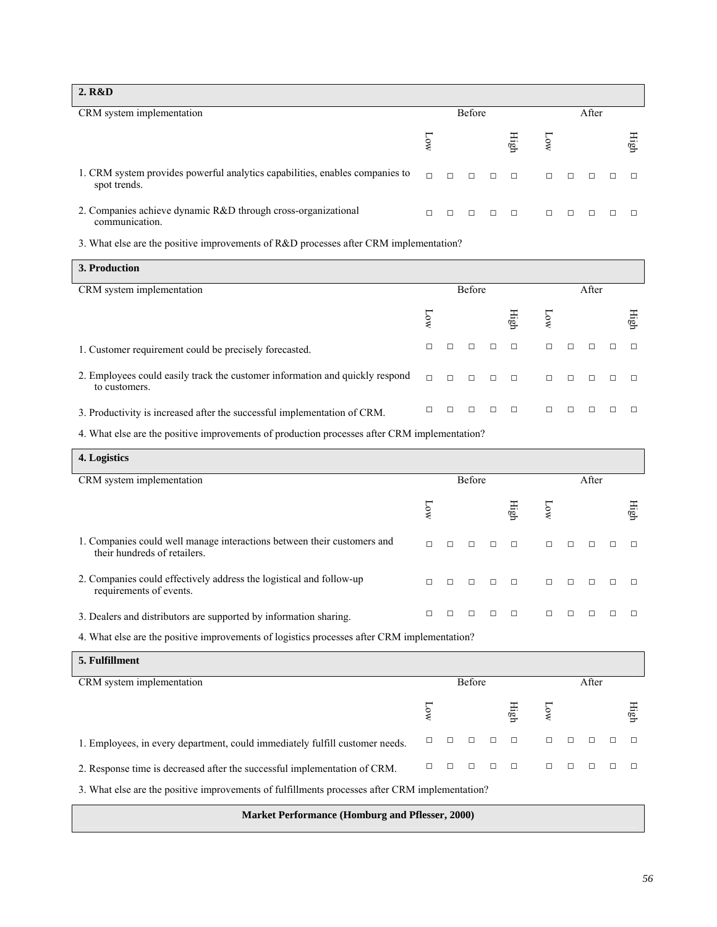| 2. R&D                                                                                       |        |        |        |                 |        |                   |        |      |
|----------------------------------------------------------------------------------------------|--------|--------|--------|-----------------|--------|-------------------|--------|------|
| CRM system implementation                                                                    |        |        | Before |                 |        |                   | After  |      |
|                                                                                              |        |        |        | $\lim_{\delta}$ |        |                   |        | Нigh |
| 1. CRM system provides powerful analytics capabilities, enables companies to<br>spot trends. | $\Box$ | $\Box$ | $\Box$ | $\Box$          |        | $\Box \quad \Box$ | $\Box$ |      |
| 2. Companies achieve dynamic R&D through cross-organizational<br>communication.              | $\Box$ |        |        |                 | $\Box$ |                   |        |      |

3. What else are the positive improvements of R&D processes after CRM implementation?

| 3. Production                                                                                 |        |        |        |        |                                                                              |  |  |  |      |  |
|-----------------------------------------------------------------------------------------------|--------|--------|--------|--------|------------------------------------------------------------------------------|--|--|--|------|--|
| CRM system implementation                                                                     |        | Before |        | After  |                                                                              |  |  |  |      |  |
|                                                                                               | à      |        |        | High   | ģ                                                                            |  |  |  | High |  |
| 1. Customer requirement could be precisely forecasted.                                        | $\Box$ |        |        | $\Box$ |                                                                              |  |  |  |      |  |
| 2. Employees could easily track the customer information and quickly respond<br>to customers. | $\Box$ |        | $\Box$ | $\Box$ | $\begin{array}{cccccccccccccc} \Box & \Box & \Box & \Box & \Box \end{array}$ |  |  |  |      |  |
| 3. Productivity is increased after the successful implementation of CRM.                      |        |        |        |        |                                                                              |  |  |  |      |  |

4. What else are the positive improvements of production processes after CRM implementation?

| 4. Logistics                                                                                            |        |        |               |        |        |        |  |  |  |      |  |  |
|---------------------------------------------------------------------------------------------------------|--------|--------|---------------|--------|--------|--------|--|--|--|------|--|--|
| CRM system implementation                                                                               |        |        | <b>Before</b> |        |        | After  |  |  |  |      |  |  |
|                                                                                                         | ð      |        |               |        | Ξig    | ð      |  |  |  | Нigh |  |  |
| 1. Companies could well manage interactions between their customers and<br>their hundreds of retailers. | $\Box$ | $\Box$ | П             | $\Box$ | $\Box$ | $\Box$ |  |  |  |      |  |  |
| 2. Companies could effectively address the logistical and follow-up<br>requirements of events.          | $\Box$ | $\Box$ | $\Box$        | $\Box$ | $\Box$ | $\Box$ |  |  |  |      |  |  |
| 3. Dealers and distributors are supported by information sharing.                                       | П      | П      |               |        |        |        |  |  |  |      |  |  |

4. What else are the positive improvements of logistics processes after CRM implementation?

| 5. Fulfillment                                                                                 |   |        |        |        |        |  |  |   |      |  |
|------------------------------------------------------------------------------------------------|---|--------|--------|--------|--------|--|--|---|------|--|
| CRM system implementation                                                                      |   | Before |        | After  |        |  |  |   |      |  |
|                                                                                                | à |        |        | igo    | ट्रे   |  |  |   | Нigh |  |
| 1. Employees, in every department, could immediately fulfill customer needs.                   | п |        | П      |        |        |  |  | П |      |  |
| 2. Response time is decreased after the successful implementation of CRM.                      | П |        | $\Box$ | $\Box$ | $\Box$ |  |  |   |      |  |
| 3. What else are the positive improvements of fulfillments processes after CRM implementation? |   |        |        |        |        |  |  |   |      |  |

**Market Performance (Homburg and Pflesser, 2000)**